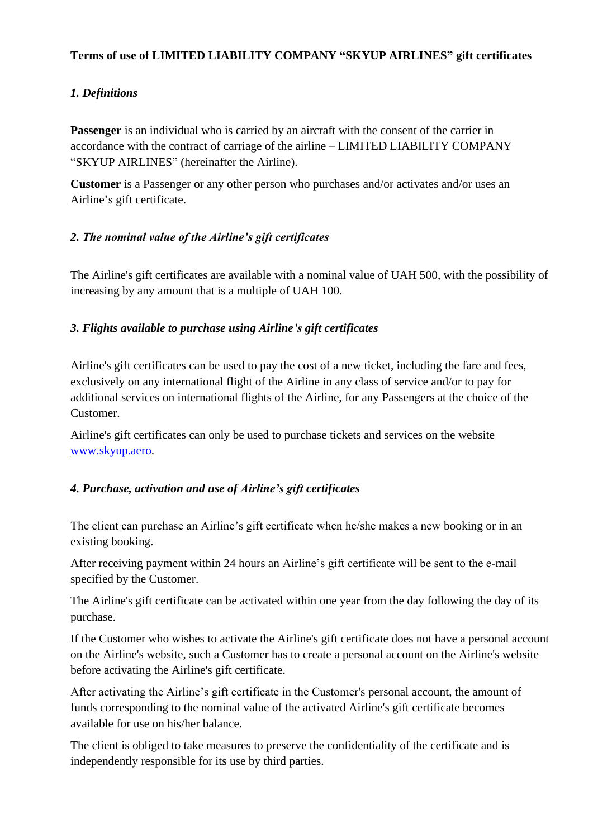## **Terms of use of LIMITED LIABILITY COMPANY "SKYUP AIRLINES" gift certificates**

## *1. Definitions*

**Passenger** is an individual who is carried by an aircraft with the consent of the carrier in accordance with the contract of carriage of the airline – LIMITED LIABILITY COMPANY "SKYUP AIRLINES" (hereinafter the Airline).

**Customer** is a Passenger or any other person who purchases and/or activates and/or uses an Airline's gift certificate.

## *2. The nominal value of the Airline's gift certificates*

The Airline's gift certificates are available with a nominal value of UAH 500, with the possibility of increasing by any amount that is a multiple of UAH 100.

### *3. Flights available to purchase using Airline's gift certificates*

Airline's gift certificates can be used to pay the cost of a new ticket, including the fare and fees, exclusively on any international flight of the Airline in any class of service and/or to pay for additional services on international flights of the Airline, for any Passengers at the choice of the Customer.

Airline's gift certificates can only be used to purchase tickets and services on the website [www.skyup.aero.](http://www.skyup.aero/)

#### *4. Purchase, activation and use of Airline's gift certificates*

The client can purchase an Airline's gift certificate when he/she makes a new booking or in an existing booking.

After receiving payment within 24 hours an Airline's gift certificate will be sent to the e-mail specified by the Customer.

The Airline's gift certificate can be activated within one year from the day following the day of its purchase.

If the Customer who wishes to activate the Airline's gift certificate does not have a personal account on the Airline's website, such a Customer has to create a personal account on the Airline's website before activating the Airline's gift certificate.

After activating the Airline's gift certificate in the Customer's personal account, the amount of funds corresponding to the nominal value of the activated Airline's gift certificate becomes available for use on his/her balance.

The client is obliged to take measures to preserve the confidentiality of the certificate and is independently responsible for its use by third parties.